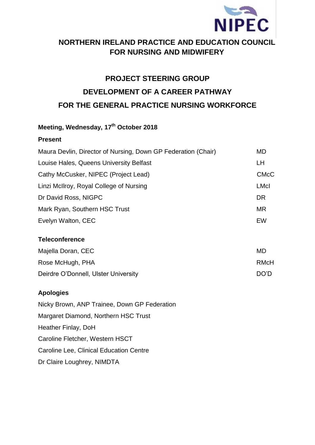

# **NORTHERN IRELAND PRACTICE AND EDUCATION COUNCIL FOR NURSING AND MIDWIFERY**

# **PROJECT STEERING GROUP DEVELOPMENT OF A CAREER PATHWAY FOR THE GENERAL PRACTICE NURSING WORKFORCE**

## **Meeting, Wednesday, 17th October 2018**

#### **Present**

| Maura Devlin, Director of Nursing, Down GP Federation (Chair) | MD          |
|---------------------------------------------------------------|-------------|
| Louise Hales, Queens University Belfast                       | LH          |
| Cathy McCusker, NIPEC (Project Lead)                          | <b>CMcC</b> |
| Linzi McIlroy, Royal College of Nursing                       | <b>LMcI</b> |
| Dr David Ross, NIGPC                                          | <b>DR</b>   |
| Mark Ryan, Southern HSC Trust                                 | <b>MR</b>   |
| Evelyn Walton, CEC                                            | EW          |
| <b>Teleconference</b>                                         |             |
| Majella Doran, CEC                                            | <b>MD</b>   |
| Rose McHugh, PHA                                              | <b>RMcH</b> |

# Deirdre O'Donnell, Ulster University **DEED ACCESS** DO'D

# **Apologies**

Nicky Brown, ANP Trainee, Down GP Federation Margaret Diamond, Northern HSC Trust Heather Finlay, DoH Caroline Fletcher, Western HSCT Caroline Lee, Clinical Education Centre Dr Claire Loughrey, NIMDTA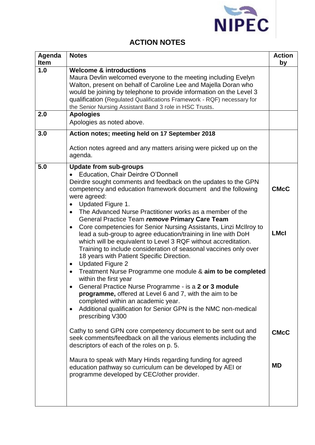

## **ACTION NOTES**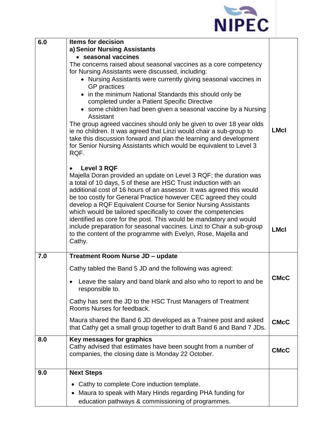

| 6.0 | <b>Items for decision</b>                                                                                                                |             |
|-----|------------------------------------------------------------------------------------------------------------------------------------------|-------------|
|     | a) Senior Nursing Assistants                                                                                                             |             |
|     | • seasonal vaccines                                                                                                                      |             |
|     | The concerns raised about seasonal vaccines as a core competency                                                                         |             |
|     | for Nursing Assistants were discussed, including:<br>• Nursing Assistants were currently giving seasonal vaccines in                     |             |
|     | <b>GP</b> practices                                                                                                                      |             |
|     | • in the minimum National Standards this should only be                                                                                  |             |
|     | completed under a Patient Specific Directive                                                                                             |             |
|     | • some children had been given a seasonal vaccine by a Nursing                                                                           |             |
|     | Assistant                                                                                                                                |             |
|     | The group agreed vaccines should only be given to over 18 year olds                                                                      | <b>LMcI</b> |
|     | ie no children. It was agreed that Linzi would chair a sub-group to                                                                      |             |
|     | take this discussion forward and plan the learning and development<br>for Senior Nursing Assistants which would be equivalent to Level 3 |             |
|     | RQF.                                                                                                                                     |             |
|     |                                                                                                                                          |             |
|     | <b>Level 3 RQF</b>                                                                                                                       |             |
|     | Majella Doran provided an update on Level 3 RQF; the duration was                                                                        |             |
|     | a total of 10 days, 5 of these are HSC Trust induction with an                                                                           |             |
|     | additional cost of 16 hours of an assessor. It was agreed this would                                                                     |             |
|     | be too costly for General Practice however CEC agreed they could<br>develop a RQF Equivalent Course for Senior Nursing Assistants        |             |
|     | which would be tailored specifically to cover the competencies                                                                           |             |
|     | identified as core for the post. This would be mandatory and would                                                                       |             |
|     | include preparation for seasonal vaccines. Linzi to Chair a sub-group                                                                    | <b>LMcl</b> |
|     | to the content of the programme with Evelyn, Rose, Majella and                                                                           |             |
|     | Cathy.                                                                                                                                   |             |
| 7.0 | Treatment Room Nurse JD - update                                                                                                         |             |
|     | Cathy tabled the Band 5 JD and the following was agreed:                                                                                 |             |
|     | Leave the salary and band blank and also who to report to and be                                                                         | <b>CMcC</b> |
|     | responsible to.                                                                                                                          |             |
|     | Cathy has sent the JD to the HSC Trust Managers of Treatment                                                                             |             |
|     | Rooms Nurses for feedback.                                                                                                               |             |
|     | Maura shared the Band 6 JD developed as a Trainee post and asked                                                                         | <b>CMcC</b> |
|     | that Cathy get a small group together to draft Band 6 and Band 7 JDs.                                                                    |             |
| 8.0 | Key messages for graphics                                                                                                                |             |
|     | Cathy advised that estimates have been sought from a number of                                                                           | <b>CMcC</b> |
|     | companies, the closing date is Monday 22 October.                                                                                        |             |
| 9.0 | <b>Next Steps</b>                                                                                                                        |             |
|     |                                                                                                                                          |             |
|     | Cathy to complete Core induction template.                                                                                               |             |
|     | Maura to speak with Mary Hinds regarding PHA funding for                                                                                 |             |
|     | education pathways & commissioning of programmes.                                                                                        |             |